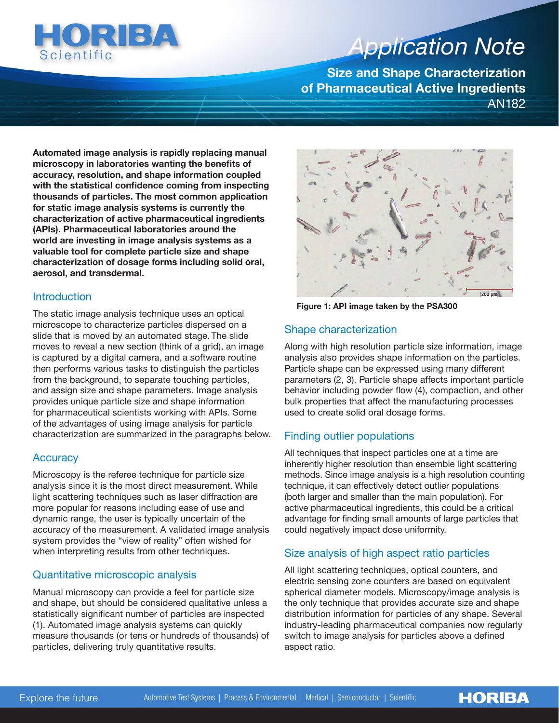

# *Application Note Application Note*

**Size and Shape Characterization of Pharmaceutical Active Ingredients**  AN182

**Automated image analysis is rapidly replacing manual microscopy in laboratories wanting the benefits of accuracy, resolution, and shape information coupled with the statistical confidence coming from inspecting thousands of particles. The most common application for static image analysis systems is currently the characterization of active pharmaceutical ingredients (APIs). Pharmaceutical laboratories around the world are investing in image analysis systems as a valuable tool for complete particle size and shape characterization of dosage forms including solid oral, aerosol, and transdermal.**

#### **Introduction**

The static image analysis technique uses an optical microscope to characterize particles dispersed on a slide that is moved by an automated stage. The slide moves to reveal a new section (think of a grid), an image is captured by a digital camera, and a software routine then performs various tasks to distinguish the particles from the background, to separate touching particles, and assign size and shape parameters. Image analysis provides unique particle size and shape information for pharmaceutical scientists working with APIs. Some of the advantages of using image analysis for particle characterization are summarized in the paragraphs below.

## **Accuracy**

Microscopy is the referee technique for particle size analysis since it is the most direct measurement. While light scattering techniques such as laser diffraction are more popular for reasons including ease of use and dynamic range, the user is typically uncertain of the accuracy of the measurement. A validated image analysis system provides the "view of reality" often wished for when interpreting results from other techniques.

# Quantitative microscopic analysis

Manual microscopy can provide a feel for particle size and shape, but should be considered qualitative unless a statistically significant number of particles are inspected (1). Automated image analysis systems can quickly measure thousands (or tens or hundreds of thousands) of particles, delivering truly quantitative results.



**Figure 1: API image taken by the PSA300**

## Shape characterization

Along with high resolution particle size information, image analysis also provides shape information on the particles. Particle shape can be expressed using many different parameters (2, 3). Particle shape affects important particle behavior including powder flow (4), compaction, and other bulk properties that affect the manufacturing processes used to create solid oral dosage forms.

# Finding outlier populations

All techniques that inspect particles one at a time are inherently higher resolution than ensemble light scattering methods. Since image analysis is a high resolution counting technique, it can effectively detect outlier populations (both larger and smaller than the main population). For active pharmaceutical ingredients, this could be a critical advantage for finding small amounts of large particles that could negatively impact dose uniformity.

# Size analysis of high aspect ratio particles

All light scattering techniques, optical counters, and electric sensing zone counters are based on equivalent spherical diameter models. Microscopy/image analysis is the only technique that provides accurate size and shape distribution information for particles of any shape. Several industry-leading pharmaceutical companies now regularly switch to image analysis for particles above a defined aspect ratio.

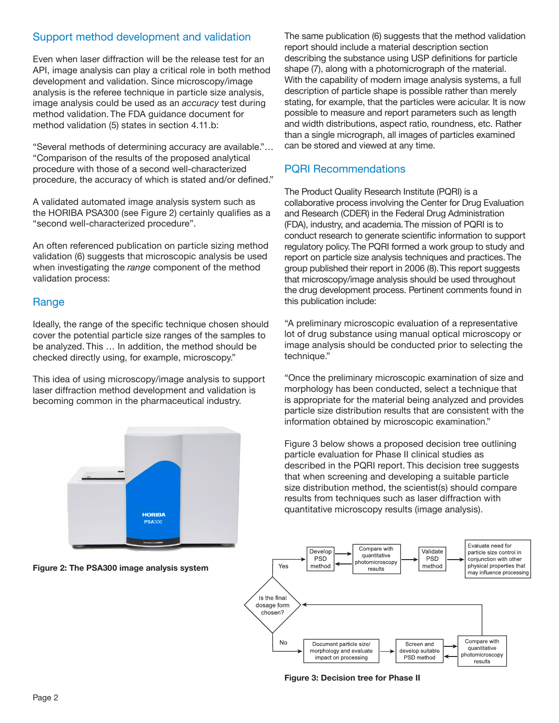## Support method development and validation

Even when laser diffraction will be the release test for an API, image analysis can play a critical role in both method development and validation. Since microscopy/image analysis is the referee technique in particle size analysis, image analysis could be used as an *accuracy* test during method validation. The FDA guidance document for method validation (5) states in section 4.11.b:

"Several methods of determining accuracy are available."… "Comparison of the results of the proposed analytical procedure with those of a second well-characterized procedure, the accuracy of which is stated and/or defined."

A validated automated image analysis system such as the HORIBA PSA300 (see Figure 2) certainly qualifies as a "second well-characterized procedure".

An often referenced publication on particle sizing method validation (6) suggests that microscopic analysis be used when investigating the *range* component of the method validation process:

## Range

Ideally, the range of the specific technique chosen should cover the potential particle size ranges of the samples to be analyzed. This … In addition, the method should be checked directly using, for example, microscopy."

This idea of using microscopy/image analysis to support laser diffraction method development and validation is becoming common in the pharmaceutical industry.



**Figure 2: The PSA300 image analysis system**

The same publication (6) suggests that the method validation report should include a material description section describing the substance using USP definitions for particle shape (7), along with a photomicrograph of the material. With the capability of modern image analysis systems, a full description of particle shape is possible rather than merely stating, for example, that the particles were acicular. It is now possible to measure and report parameters such as length and width distributions, aspect ratio, roundness, etc. Rather than a single micrograph, all images of particles examined can be stored and viewed at any time.

## PQRI Recommendations

The Product Quality Research Institute (PQRI) is a collaborative process involving the Center for Drug Evaluation and Research (CDER) in the Federal Drug Administration (FDA), industry, and academia. The mission of PQRI is to conduct research to generate scientific information to support regulatory policy. The PQRI formed a work group to study and report on particle size analysis techniques and practices. The group published their report in 2006 (8). This report suggests that microscopy/image analysis should be used throughout the drug development process. Pertinent comments found in this publication include:

"A preliminary microscopic evaluation of a representative lot of drug substance using manual optical microscopy or image analysis should be conducted prior to selecting the technique."

"Once the preliminary microscopic examination of size and morphology has been conducted, select a technique that is appropriate for the material being analyzed and provides particle size distribution results that are consistent with the information obtained by microscopic examination."

Figure 3 below shows a proposed decision tree outlining particle evaluation for Phase II clinical studies as described in the PQRI report. This decision tree suggests that when screening and developing a suitable particle size distribution method, the scientist(s) should compare results from techniques such as laser diffraction with quantitative microscopy results (image analysis).



**Figure 3: Decision tree for Phase II**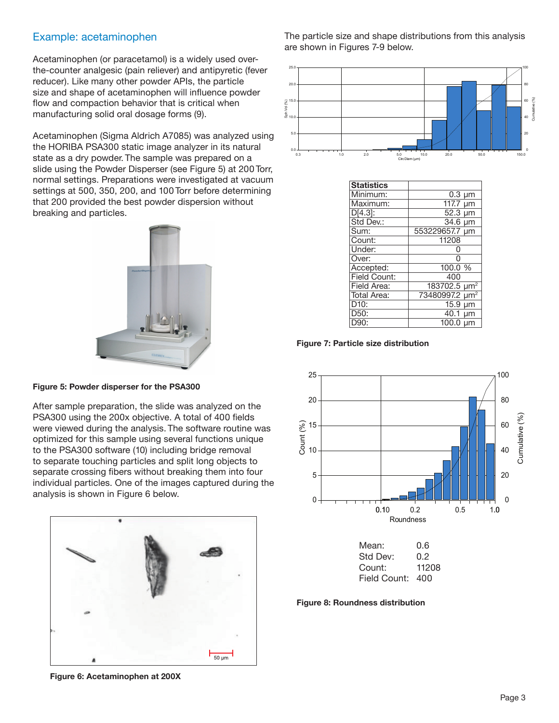### Example: acetaminophen

Acetaminophen (or paracetamol) is a widely used overthe-counter analgesic (pain reliever) and antipyretic (fever reducer). Like many other powder APIs, the particle size and shape of acetaminophen will influence powder flow and compaction behavior that is critical when manufacturing solid oral dosage forms (9).

Acetaminophen (Sigma Aldrich A7085) was analyzed using the HORIBA PSA300 static image analyzer in its natural state as a dry powder. The sample was prepared on a slide using the Powder Disperser (see Figure 5) at 200 Torr, normal settings. Preparations were investigated at vacuum settings at 500, 350, 200, and 100 Torr before determining that 200 provided the best powder dispersion without breaking and particles.



**Figure 5: Powder disperser for the PSA300**

After sample preparation, the slide was analyzed on the PSA300 using the 200x objective. A total of 400 fields were viewed during the analysis. The software routine was optimized for this sample using several functions unique to the PSA300 software (10) including bridge removal to separate touching particles and split long objects to separate crossing fibers without breaking them into four individual particles. One of the images captured during the analysis is shown in Figure 6 below.



**Figure 6: Acetaminophen at 200X**

The particle size and shape distributions from this analysis are shown in Figures 7-9 below.



| oount.            | 117 UO                     |
|-------------------|----------------------------|
| Under:            | ი                          |
| Over:             | O                          |
| Accepted:         | 100.0 %                    |
| Field Count:      | 400                        |
| Field Area:       | 183702.5 µm <sup>2</sup>   |
| Total Area:       | 73480997.2 µm <sup>2</sup> |
| D <sub>10</sub> : | $15.9 \mu m$               |
| D50:              | 40.1 um                    |
| D90:              | $100.0 \mu m$              |





**Figure 8: Roundness distribution**